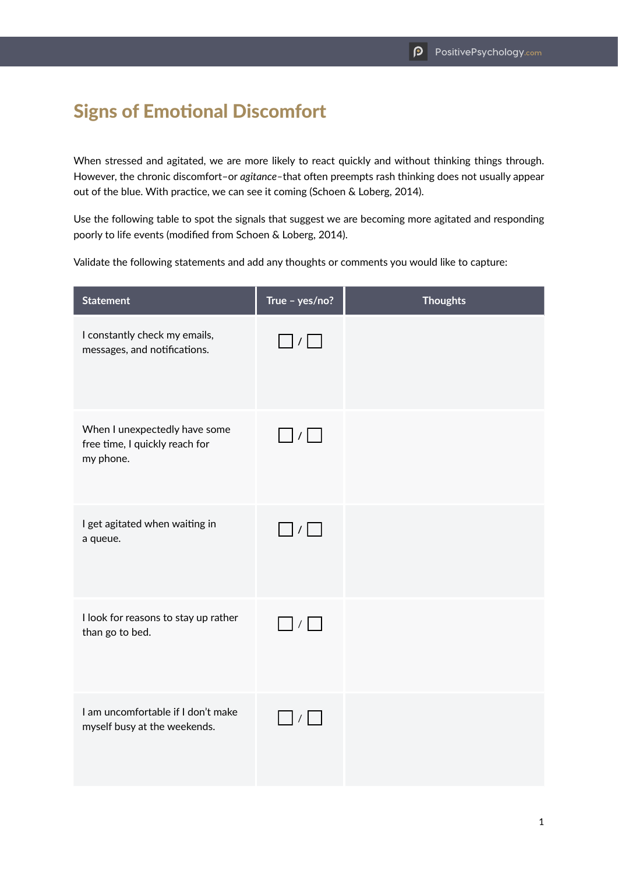## Signs of Emotional Discomfort

When stressed and agitated, we are more likely to react quickly and without thinking things through. However, the chronic discomfort–or *agitance–*that often preempts rash thinking does not usually appear out of the blue. With practice, we can see it coming (Schoen & Loberg, 2014).

Use the following table to spot the signals that suggest we are becoming more agitated and responding poorly to life events (modified from Schoen & Loberg, 2014).

Validate the following statements and add any thoughts or comments you would like to capture:

| <b>Statement</b>                                                             | True - yes/no?  | <b>Thoughts</b> |
|------------------------------------------------------------------------------|-----------------|-----------------|
| I constantly check my emails,<br>messages, and notifications.                | $\Box$ / $\Box$ |                 |
| When I unexpectedly have some<br>free time, I quickly reach for<br>my phone. | $\Box$ / $\Box$ |                 |
| I get agitated when waiting in<br>a queue.                                   | $\Box$ / $\Box$ |                 |
| I look for reasons to stay up rather<br>than go to bed.                      | $\Box$ / $\Box$ |                 |
| I am uncomfortable if I don't make<br>myself busy at the weekends.           | $\Box$ / $\Box$ |                 |